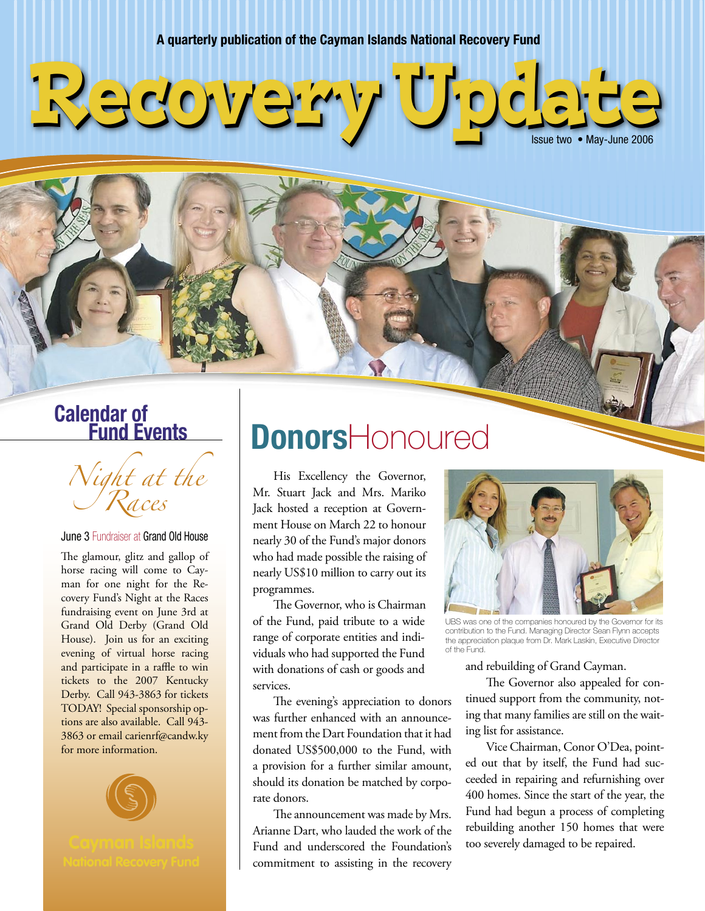**A quarterly publication of the Cayman Islands National Recovery Fund**



# **Calendar of Fund Events**

Night at the Races

June 3 Fundraiser at Grand Old House

The glamour, glitz and gallop of horse racing will come to Cayman for one night for the Recovery Fund's Night at the Races fundraising event on June 3rd at Grand Old Derby (Grand Old House). Join us for an exciting evening of virtual horse racing and participate in a raffle to win tickets to the 2007 Kentucky Derby. Call 943-3863 for tickets TODAY! Special sponsorship options are also available. Call 943- 3863 or email carienrf@candw.ky for more information.



# **Donors**Honoured

His Excellency the Governor, Mr. Stuart Jack and Mrs. Mariko Jack hosted a reception at Government House on March 22 to honour nearly 30 of the Fund's major donors who had made possible the raising of nearly US\$10 million to carry out its programmes.

 The Governor, who is Chairman of the Fund, paid tribute to a wide range of corporate entities and individuals who had supported the Fund with donations of cash or goods and services.

 The evening's appreciation to donors was further enhanced with an announcement from the Dart Foundation that it had donated US\$500,000 to the Fund, with a provision for a further similar amount, should its donation be matched by corporate donors.

 The announcement was made by Mrs. Arianne Dart, who lauded the work of the Fund and underscored the Foundation's commitment to assisting in the recovery



UBS was one of the companies honoured by the Governor for its contribution to the Fund. Managing Director Sean Flynn accepts the appreciation plaque from Dr. Mark Laskin, Executive Director of the Fund.

and rebuilding of Grand Cayman.

 The Governor also appealed for continued support from the community, noting that many families are still on the waiting list for assistance.

 Vice Chairman, Conor O'Dea, pointed out that by itself, the Fund had succeeded in repairing and refurnishing over 400 homes. Since the start of the year, the Fund had begun a process of completing rebuilding another 150 homes that were too severely damaged to be repaired.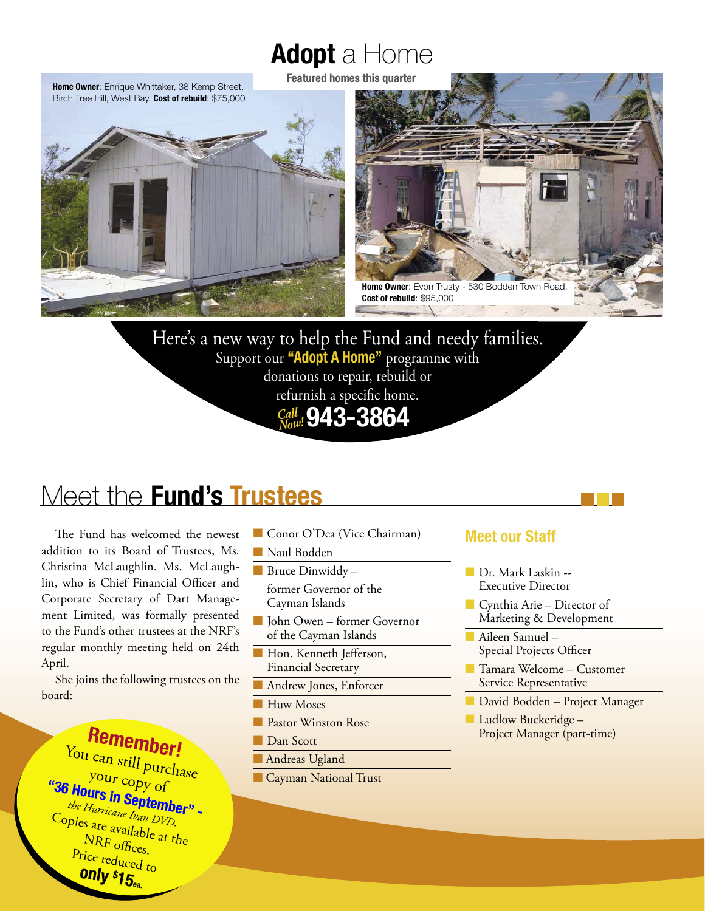# **Adopt** a Home

**Featured homes this quarter**





Here's a new way to help the Fund and needy families. Support our **"Adopt A Home"** programme with donations to repair, rebuild or refurnish a specific home. **943-3864** *Call Now!*

# Meet the **Fund's Trustees**

 The Fund has welcomed the newest addition to its Board of Trustees, Ms. Christina McLaughlin. Ms. McLaughlin, who is Chief Financial Officer and Corporate Secretary of Dart Management Limited, was formally presented to the Fund's other trustees at the NRF's regular monthly meeting held on 24th April.

 She joins the following trustees on the board:

**Remember!** You can still purchase your copy of<br>**Hours in Septembe**<br>the Hurricane Ivan DVD. **"36 Hours in September" -** *the Hurricane Ivan DVD.* Copies are available at the NRF offices. Price reduced to **only \$ 15ea.**

- Conor O'Dea (Vice Chairman)
- Naul Bodden
- Bruce Dinwiddy –

former Governor of the Cayman Islands

- John Owen former Governor of the Cayman Islands
- Hon. Kenneth Jefferson, Financial Secretary
- Andrew Jones, Enforcer
- Huw Moses
- Pastor Winston Rose
- Dan Scott
- Andreas Ugland
- Cayman National Trust

#### **Meet our Staff**

- Dr. Mark Laskin --Executive Director
- Cynthia Arie Director of Marketing & Development
- Aileen Samuel Special Projects Officer
- Tamara Welcome Customer Service Representative
- David Bodden Project Manager
- Ludlow Buckeridge -Project Manager (part-time)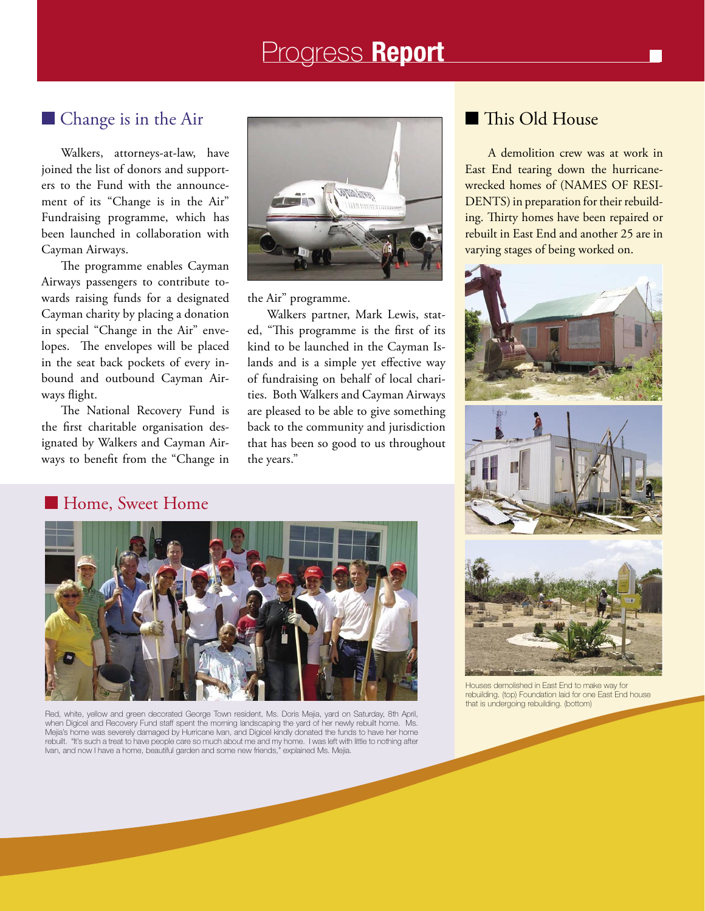# Progress **Report**

#### ■ Change is in the Air

Walkers, attorneys-at-law, have joined the list of donors and supporters to the Fund with the announcement of its "Change is in the Air" Fundraising programme, which has been launched in collaboration with Cayman Airways.

 The programme enables Cayman Airways passengers to contribute towards raising funds for a designated Cayman charity by placing a donation in special "Change in the Air" envelopes. The envelopes will be placed in the seat back pockets of every inbound and outbound Cayman Airways flight.

 The National Recovery Fund is the first charitable organisation designated by Walkers and Cayman Airways to benefit from the "Change in



the Air" programme.

 Walkers partner, Mark Lewis, stated, "This programme is the first of its kind to be launched in the Cayman Islands and is a simple yet effective way of fundraising on behalf of local charities. Both Walkers and Cayman Airways are pleased to be able to give something back to the community and jurisdiction that has been so good to us throughout the years."

#### ■ This Old House

 A demolition crew was at work in East End tearing down the hurricanewrecked homes of (NAMES OF RESI-DENTS) in preparation for their rebuilding. Thirty homes have been repaired or rebuilt in East End and another 25 are in varying stages of being worked on.





#### ■ Home, Sweet Home



Red, white, yellow and green decorated George Town resident, Ms. Doris Mejia, yard on Saturday, 8th April, when Digicel and Recovery Fund staff spent the morning landscaping the yard of her newly rebuilt home. Ms. Mejia's home was severely damaged by Hurricane Ivan, and Digicel kindly donated the funds to have her home rebuilt. "It's such a treat to have people care so much about me and my home. I was left with little to nothing after Ivan, and now I have a home, beautiful garden and some new friends," explained Ms. Mejia.



Houses demolished in East End to make way for rebuilding. (top) Foundation laid for one East End house that is undergoing rebuilding. (bottom)